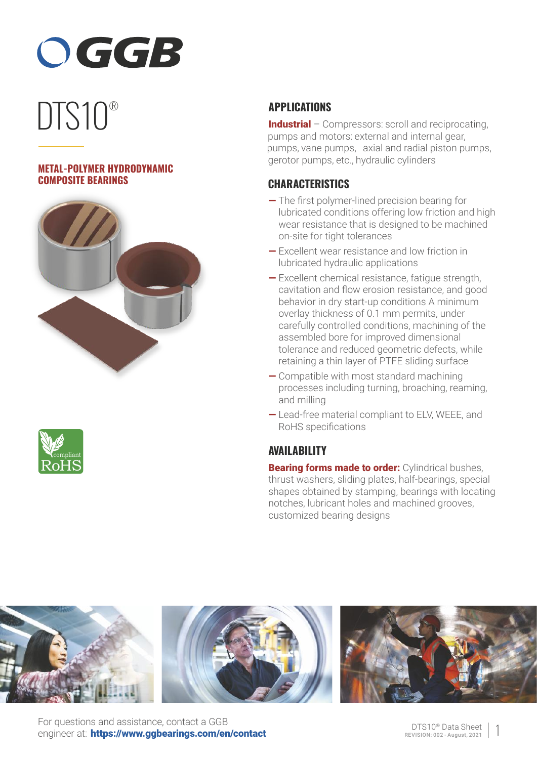

# DTS10<sup>®</sup>

## **METAL-POLYMER HYDRODYNAMIC COMPOSITE BEARINGS**





# **APPLICATIONS**

Industrial – Compressors: scroll and reciprocating, pumps and motors: external and internal gear, pumps, vane pumps, axial and radial piston pumps, gerotor pumps, etc., hydraulic cylinders

## **CHARACTERISTICS**

- The first polymer-lined precision bearing for lubricated conditions offering low friction and high wear resistance that is designed to be machined on-site for tight tolerances
- Excellent wear resistance and low friction in lubricated hydraulic applications
- Excellent chemical resistance, fatigue strength, cavitation and flow erosion resistance, and good behavior in dry start-up conditions A minimum overlay thickness of 0.1 mm permits, under carefully controlled conditions, machining of the assembled bore for improved dimensional tolerance and reduced geometric defects, while retaining a thin layer of PTFE sliding surface
- Compatible with most standard machining processes including turning, broaching, reaming, and milling
- Lead-free material compliant to ELV, WEEE, and RoHS specifications

## **AVAILABILITY**

**Bearing forms made to order: Cylindrical bushes,** thrust washers, sliding plates, half-bearings, special shapes obtained by stamping, bearings with locating notches, lubricant holes and machined grooves, customized bearing designs